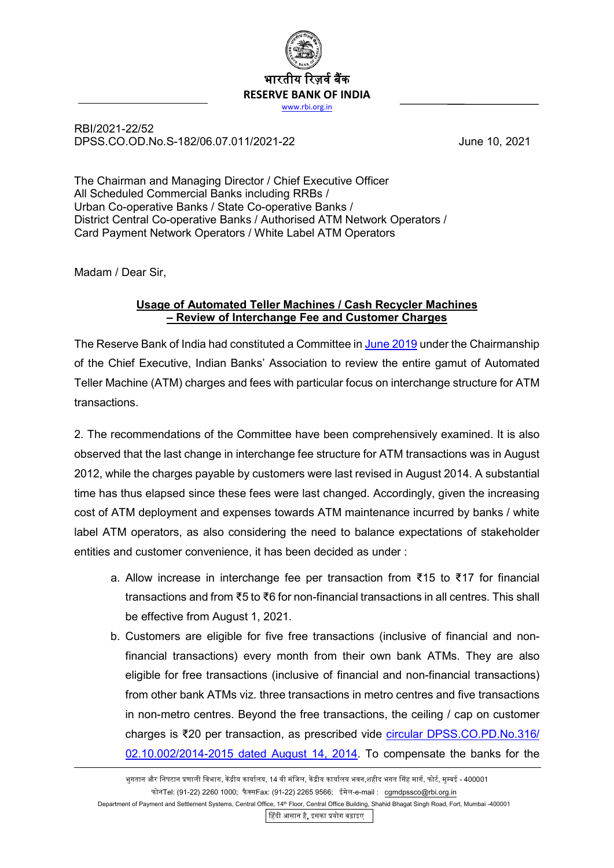

RBI/2021-22/52 DPSS.CO.OD.No.S-182/06.07.011/2021-22 June 10, 2021

The Chairman and Managing Director / Chief Executive Officer All Scheduled Commercial Banks including RRBs / Urban Co-operative Banks / State Co-operative Banks / District Central Co-operative Banks / Authorised ATM Network Operators / Card Payment Network Operators / White Label ATM Operators

Madam / Dear Sir,

## **Usage of Automated Teller Machines / Cash Recycler Machines – Review of Interchange Fee and Customer Charges**

The Reserve Bank of India had constituted a Committee in [June](https://www.rbi.org.in/Scripts/BS_PressReleaseDisplay.aspx?prid=47270) 2019 under the Chairmanship of the Chief Executive, Indian Banks' Association to review the entire gamut of Automated Teller Machine (ATM) charges and fees with particular focus on interchange structure for ATM transactions.

2. The recommendations of the Committee have been comprehensively examined. It is also observed that the last change in interchange fee structure for ATM transactions was in August 2012, while the charges payable by customers were last revised in August 2014. A substantial time has thus elapsed since these fees were last changed. Accordingly, given the increasing cost of ATM deployment and expenses towards ATM maintenance incurred by banks / white label ATM operators, as also considering the need to balance expectations of stakeholder entities and customer convenience, it has been decided as under :

- a. Allow increase in interchange fee per transaction from ₹15 to ₹17 for financial transactions and from ₹5 to ₹6 for non-financial transactions in all centres. This shall be effective from August 1, 2021.
- b. Customers are eligible for five free transactions (inclusive of financial and nonfinancial transactions) every month from their own bank ATMs. They are also eligible for free transactions (inclusive of financial and non-financial transactions) from other bank ATMs viz. three transactions in metro centres and five transactions in non-metro centres. Beyond the free transactions, the ceiling / cap on customer charges is ₹20 per transaction, as prescribed vide [circular DPSS.CO.PD.No.316/](https://www.rbi.org.in/Scripts/NotificationUser.aspx?Id=9170&Mode=0) [02.10.002/2014-2015 dated August 14, 2014.](https://www.rbi.org.in/Scripts/NotificationUser.aspx?Id=9170&Mode=0) To compensate the banks for the

�हंदी आसान है, इसका �योग बढ़ाइए